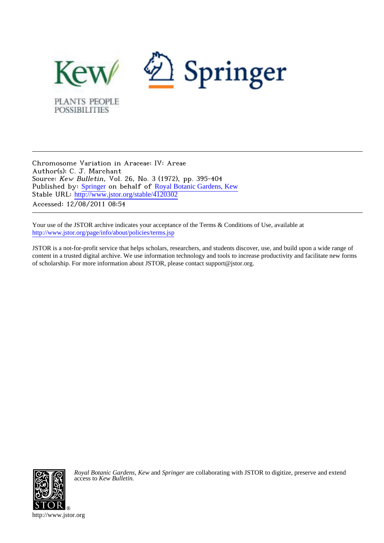

Chromosome Variation in Araceae: IV: Areae Author(s): C. J. Marchant Source: Kew Bulletin, Vol. 26, No. 3 (1972), pp. 395-404 Published by: [Springer](http://www.jstor.org/action/showPublisher?publisherCode=springer) on behalf of [Royal Botanic Gardens, Kew](http://www.jstor.org/action/showPublisher?publisherCode=kew) Stable URL: [http://www.jstor.org/stable/4120302](http://www.jstor.org/stable/4120302?origin=JSTOR-pdf) Accessed: 12/08/2011 08:54

Your use of the JSTOR archive indicates your acceptance of the Terms & Conditions of Use, available at <http://www.jstor.org/page/info/about/policies/terms.jsp>

JSTOR is a not-for-profit service that helps scholars, researchers, and students discover, use, and build upon a wide range of content in a trusted digital archive. We use information technology and tools to increase productivity and facilitate new forms of scholarship. For more information about JSTOR, please contact support@jstor.org.



*Royal Botanic Gardens, Kew* and *Springer* are collaborating with JSTOR to digitize, preserve and extend access to *Kew Bulletin.*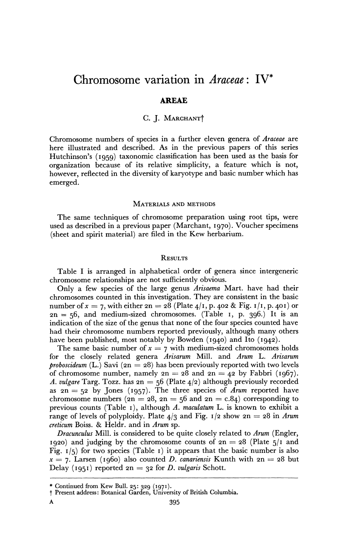# **Chromosome variation in Araceae: IV\***

### **AREAE**

### **C. J. MARCHANTt**

**Chromosome numbers of species in a further eleven genera of Araceae are here illustrated and described. As in the previous papers of this series Hutchinson's (i959) taxonomic classification has been used as the basis for organization because of its relative simplicity, a feature which is not, however, reflected in the diversity of karyotype and basic number which has emerged.** 

### **MATERIALS AND METHODS**

**The same techniques of chromosome preparation using root tips, were used as described in a previous paper (Marchant, 1970). Voucher specimens (sheet and spirit material) are filed in the Kew herbarium.** 

### **RESULTS**

**Table I is arranged in alphabetical order of genera since intergeneric chromosome relationships are not sufficiently obvious.** 

**Only a few species of the large genus Arisaema Mart. have had their chromosomes counted in this investigation. They are consistent in the basic number of**  $x = 7$ **, with either**  $2n = 28$  **(Plate**  $4/1$ **, p. 402 & Fig. 1/1, p. 401) or 2n = 56, and medium-sized chromosomes. (Table I, p. 396.) It is an indication of the size of the genus that none of the four species counted have had their chromosome numbers reported previously, although many others have been published, most notably by Bowden (1940) and Ito (1942).** 

The same basic number of  $x = 7$  with medium-sized chromosomes holds **for the closely related genera Arisarum Mill. and Arum L. Arisarum proboscideum (L.) Savi (2n = 28) has been previously reported with two levels**  of chromosome number, namely  $2n = 28$  and  $2n = 42$  by Fabbri (1967). A. vulgare Targ. Tozz. has  $2n = 56$  (Plate  $4/2$ ) although previously recorded as  $2n = 52$  by Jones (1957). The three species of *Arum* reported have chromosome numbers  $(2n = 28, 2n = 56$  and  $2n = c.84$ ) corresponding to **previous counts (Table I), although A. maculatum L. is known to exhibit a range of levels of polyploidy. Plate 4/3 and Fig. 1/2 show**  $2n = 28$  **in Arum creticum Boiss. & Heldr. and in Arum sp.** 

**Dracunculus Mill. is considered to be quite closely related to Arum (Engler, 1920**) and judging by the chromosome counts of  $2n = 28$  (Plate  $\frac{1}{2}$  and **Fig. 1/5) for two species (Table i) it appears that the basic number is also**   $x = 7$ . Larsen (1960) also counted *D. canariensis* Kunth with  $2n = 28$  but Delay (1951) reported  $2n = 32$  for D. vulgaris Schott.

**<sup>\*</sup> Continued from Kew Bull. 25: 329 (i97s). t Present address: Botanical Garden, University of British Columbia.**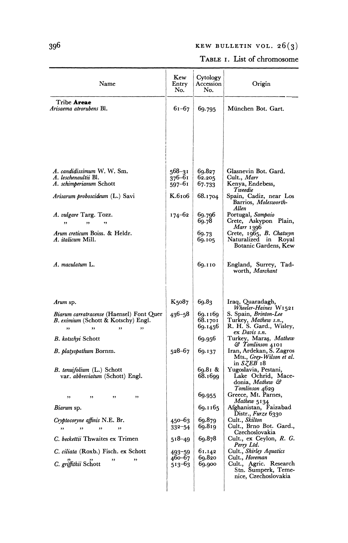## **396 KEW BULLETIN VOL. 26(3)**

## **TABLE I. List of chromosome**

| Name                                                                                                           | Kew<br>Entry<br>No.            | Cytology<br>Accession<br>No.  | Origin                                                                                    |
|----------------------------------------------------------------------------------------------------------------|--------------------------------|-------------------------------|-------------------------------------------------------------------------------------------|
| Tribe Areae<br><i>Arisaema atrorubens</i> Bl.                                                                  | 61–67                          | 69.795                        | München Bot. Gart.                                                                        |
|                                                                                                                |                                |                               |                                                                                           |
| A. candidissimum W. W. Sm.<br>A. leschenaultii Bl.<br>A. schimperianum Schott                                  | $568 - 31$<br>376–61<br>597–61 | 69.827<br>62.205<br>67.733    | Glasnevin Bot. Gard.<br>Cult., <i>Marr</i><br>Kenya, Endebess,                            |
| Arisarum proboscideum (L.) Savi                                                                                | K.6106                         | 68.1704                       | Tweedie<br>Spain, Cadiz, near Los<br>Barrios, Molesworth-<br>Allen                        |
| A. vulgare Targ. Tozz.<br>,,<br>٠,                                                                             | 174–62                         | 69.796<br>69.78               | Portugal, Sampaio<br>Crete, Askypon Plain,<br>Marr 1396                                   |
| Arum creticum Boiss. & Heldr.<br>A. italicum Mill.                                                             |                                | 69.73<br>69.105               | Crete, 1965, B. Chatwyn<br>Naturalized in Royal<br>Botanic Gardens, Kew                   |
| A. maculatum L.                                                                                                |                                | 69.110                        | England, Surrey, Tad-<br>worth, <i>Marchant</i>                                           |
| Arum sp.                                                                                                       | K5087                          | 69.83                         | Iraq, Quaradagh,<br>Wheeler-Haines W1521                                                  |
| <i>Biarum carratracense</i> (Haensel) Font Quer<br>B. eximium (Schott & Kotschy) Engl.<br>,,<br>,,<br>,,<br>,, | $436 - 58$                     | 69.1169<br>68.1701<br>69.1456 | S. Spain, Brinton-Lee<br>Turkey, Mathew s.n.,<br>R. H. S. Gard., Wisley,<br>ex Davis s.n. |
| B. kotschyi Schott                                                                                             |                                | 69.956                        | Turkey, Maraş, <i>Mathew</i><br>& Tomlinson 4101                                          |
| B. platyspathum Bornm.                                                                                         | $528 - 67$                     | 69.137                        | Iran, Ardekan, S. Zagros<br>Mts., Grey-Wilson et al.<br>in $SZEB$ 18                      |
| B. tenuifolium (L.) Schott<br>var. abbreviatum (Schott) Engl.                                                  |                                | 69.81 &<br>68.1699            | Yugoslavia, Pestani,<br>Lake Ochrid, Mace-<br>donia, Mathew &<br>Tomlinson 4629           |
| ,,<br>,,<br>, ,<br>,,                                                                                          |                                | 69.955                        | Greece, Mt. Parnes,<br>Mathew 5134                                                        |
| Biarum sp.                                                                                                     |                                | 69.1165                       | Afghanistan, Faizabad<br>Distr., Furze 6330                                               |
| Cryptocoryne affinis N.E. Br.<br>,,<br>,,<br>,,<br>,,                                                          | 450-63<br>$332 - 54$           | 69.879<br>69.819              | Cult., Skilton<br>Cult., Brno Bot. Gard.,<br>Czechoslovakia                               |
| C. beckettii Thwaites ex Trimen                                                                                | 518–49                         | 69.878                        | Cult., ex Ceylon, R. G.<br>Perry Ltd.                                                     |
| C. ciliata (Roxb.) Fisch. ex Schott<br>,,                                                                      | 493-59<br>460–67               | 61.142<br>69.820              | Cult., Shirley Aquatics<br>Cult., <i>Horeman</i>                                          |
| C. griffithii Schott                                                                                           | 513–63                         | 69.900                        | Cult., Agric. Research<br>Stn. Sumperk, Teme-<br>nice, Czechoslovakia                     |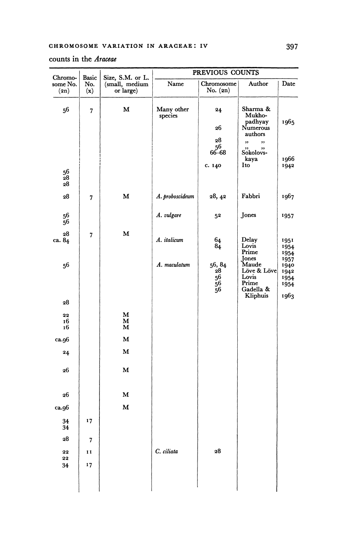### **PREVIOUS COUNTS**  Chromo- Basic Size, S.M. or L. some No. No. (small, medium **some No.** | No. | (small, medium | Name | Chromosome | Author | Date **(2n) (x) or large) No. (2n) 56 7 M Many other 24 Sharma & species Mukhopadhyay 1965 26 Numerous authors 28**  ,, ,, **56**  Sokolovs**kaya** 1966<br>Ito 1942 **c.** 140 | Ito | 1942 **56 28 28 28 7 M A. proboscideum 28, 42 Fabbri 1967 56 56 A. vulgare 52 Jones 1957 28 7 M ca. 84 A. italicum 64 Delay 1951 84 Lovis 1954 Prime '954 Jones<br>Maude** 56, 84 Jones<br>
28 Löve & Löve **1942**<br>
26 Lövis **1954**<br>
56 Prime **1954**<br>
26 Gadella & 1954 **56 A. maculatum 56, 84 Maude 1940 56 Lovis '954 56 Prime 1954 56 Gadella & Kliphuis 1963 28 22 M 16 M 16 M ca.96 M 24 M 26 M 26 M ca.96 M 34 17 34 28 7**

**<sup>22</sup>11 C. ciliata 28** 

**22 34 17** 

### **counts in the Araceae**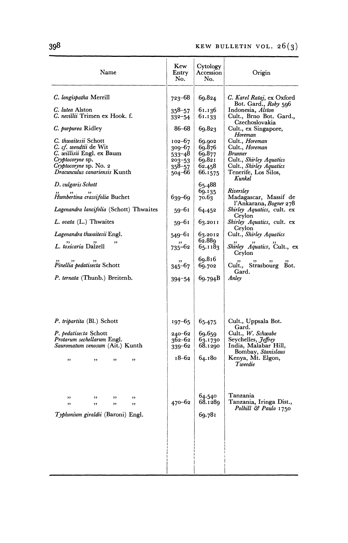| Name                                                                                                                                                      | Kew<br>Entry<br>No.                                                      | Cytology<br>Accession<br>No.                              | Origin                                                                                                                                  |  |  |
|-----------------------------------------------------------------------------------------------------------------------------------------------------------|--------------------------------------------------------------------------|-----------------------------------------------------------|-----------------------------------------------------------------------------------------------------------------------------------------|--|--|
| C. longispatha Merrill                                                                                                                                    | 723-68                                                                   | 69.824                                                    | C. Karel Rataj, ex Oxford<br>Bot. Gard., Roby 596                                                                                       |  |  |
| C. lutea Alston<br>C. nevillii Trimen ex Hook. f.                                                                                                         | $358 - 57$<br>$332 - 54$                                                 | 61.136<br>61.133                                          | Indonesia, Alston<br>Cult., Brno Bot. Gard.,                                                                                            |  |  |
| C. purpurea Ridley                                                                                                                                        | 86–68                                                                    | 69.823                                                    | Czechoslovakia<br>Cult., ex Singapore,<br>Horeman                                                                                       |  |  |
| C. thwaitesii Schott<br>C. cf. wendtii de Wit<br>C. willisii Engl. ex Baum<br>Cryptocoryne sp.<br>Cryptocoryne sp. No. 2<br>Dracunculus canariensis Kunth | $102 - 67$<br>309–67<br>$533 - 48$<br>$203 - 53$<br>$358 - 57$<br>504–66 | 69.902<br>69.876<br>69.877<br>69.821<br>62.458<br>66.1575 | Cult., <i>Horeman</i><br>Cult., <i>Horeman</i><br>Brunner<br>Cult., Shirley Aquatics<br>Cult., Shirley Aquatics<br>Tenerife, Los Silos, |  |  |
| D. vulgaris Schott<br>Humbertina crassifolia Buchet                                                                                                       | 639-69                                                                   | 65.488<br>69.135<br>70.63                                 | Kunkel<br>Riversley<br>Madagascar, Massif de<br>l'Ankarana, Bogner 278                                                                  |  |  |
| Lagenandra lancifolia (Schott) Thwaites                                                                                                                   | 59–61                                                                    | 64.452                                                    | Shirley Aquatics, cult. ex<br>Ceylon                                                                                                    |  |  |
| L. ovata (L.) Thwaites                                                                                                                                    | 59–61                                                                    | 63.2011                                                   | Shirley Aquatics, cult. ex<br>Ceylon                                                                                                    |  |  |
| Lagenandra thwaitesii Engl.                                                                                                                               | 549–61                                                                   | 63.2012<br>62.889                                         | Cult., Shirley Aquatics                                                                                                                 |  |  |
| L. toxicaria Dalzell                                                                                                                                      | $735 - 62$                                                               | 65.1183                                                   | Shirley Aquatics, Cult., ex<br>Ceylon                                                                                                   |  |  |
| " <i>Pinellia</i> pedatisecta Schott                                                                                                                      | $345 - 67$                                                               | 69.816<br>69.702                                          | Cult., Strasbourg Bot.<br>Gard.                                                                                                         |  |  |
| P. ternata (Thunb.) Breitenb.                                                                                                                             | 394-54                                                                   | 69.794B                                                   | Anley                                                                                                                                   |  |  |
|                                                                                                                                                           |                                                                          |                                                           |                                                                                                                                         |  |  |
| P. tripartita (Bl.) Schott                                                                                                                                | $197 - 65$                                                               | 65.475                                                    | Cult., Uppsala Bot.<br>Gard.                                                                                                            |  |  |
| P. pedatisecta Schott<br>Protarum sechellarum Engl.<br>Sauromatum venosum (Ait.) Kunth                                                                    | 240–62<br>362–62<br>339–62                                               | 69.659<br>63.1730<br>68.1290                              | Cult., W. Schwabe<br>Seychelles, <i>Jeffrey</i><br>India, Malabar Hill,<br>Bombay, Stanislaus                                           |  |  |
| ,,<br>,,<br>,,<br>,,                                                                                                                                      | 18–62                                                                    | 64.180                                                    | Kenya, Mt. Elgon,<br>Tweedie                                                                                                            |  |  |
| ,,<br>,,<br>,,<br>,,<br>,,<br>,,<br>,,<br>,,<br>Typhonium giraldii (Baroni) Engl.                                                                         | $470 - 62$                                                               | 64.540<br>68.1289<br>69.781                               | Tanzania<br>Tanzania, Iringa Dist.,<br>Polhill & Paulo 1750                                                                             |  |  |
|                                                                                                                                                           |                                                                          |                                                           |                                                                                                                                         |  |  |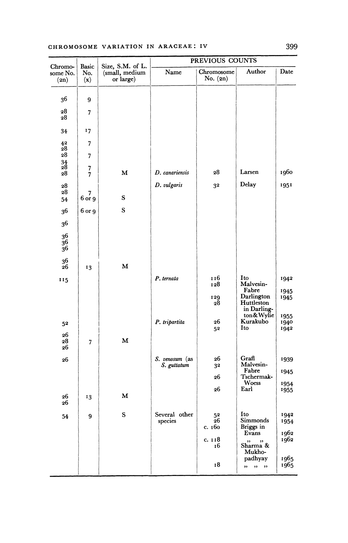### **CHROMOSOME VARIATION IN ARACEAE: IV 399**

| Basic<br>Chromo-<br>some No.<br>No.<br>(x)<br>(2n) |                                                 |             | PREVIOUS COUNTS          |              |                                                  |              |
|----------------------------------------------------|-------------------------------------------------|-------------|--------------------------|--------------|--------------------------------------------------|--------------|
|                                                    | Size, S.M. of L.<br>(small, medium<br>or large) | Name        | Chromosome<br>No. $(2n)$ | Author       | Date                                             |              |
|                                                    |                                                 |             |                          |              |                                                  |              |
| 36                                                 | 9                                               |             |                          |              |                                                  |              |
| 28<br>28                                           | 7                                               |             |                          |              |                                                  |              |
| 34                                                 | 17                                              |             |                          |              |                                                  |              |
| 42<br>28                                           | 7                                               |             |                          |              |                                                  |              |
| 28                                                 | 7                                               |             |                          |              |                                                  |              |
| $\frac{34}{28}$<br>28                              | 7<br>7                                          | М           | D. canariensis           | 28           | Larsen                                           | 1960         |
| 28                                                 |                                                 |             | D. vulgaris              | 32           | Delay                                            | 1951         |
| 28<br>54                                           | 7<br>6 or 9                                     | ${\bf S}$   |                          |              |                                                  |              |
| 36                                                 | 6 or 9                                          | ${\bf S}$   |                          |              |                                                  |              |
| 36                                                 |                                                 |             |                          |              |                                                  |              |
| 36<br>36<br>36                                     |                                                 |             |                          |              |                                                  |              |
| 36<br>26                                           | 13                                              | M           |                          |              |                                                  |              |
| 115                                                |                                                 |             | P. ternata               | 116<br>128   | Ito<br>Malvesin-                                 | 1942         |
|                                                    |                                                 |             |                          | 129<br>28    | Fabre<br>Darlington<br>Huttleston<br>in Darling- | 1945<br>1945 |
| 52                                                 |                                                 |             | P. tripartita            | 26           | ton&Wylie<br>Kurakubo                            | 1955<br>1940 |
| 26                                                 |                                                 |             |                          | 52           | Ito                                              | 1942         |
| 28<br>26                                           | 7                                               | $\mathbf M$ |                          |              |                                                  |              |
| 26                                                 |                                                 |             | S. venosum (as           | 26           | Grafi<br>Malvesin-                               | 1939         |
|                                                    |                                                 |             | S. guttatum              | 32           | Fabre                                            | 1945         |
|                                                    |                                                 |             |                          | 26           | Tschermak-<br>Woess                              | 1954         |
| 26<br>26                                           | 13                                              | м           |                          | 26           | Earl                                             | 1955         |
| 54                                                 | 9                                               | ${\bf S}$   | Several other            | 52           | Ito                                              | 1942         |
|                                                    |                                                 |             | species                  | 26<br>с. 160 | Simmonds<br>Briggs in                            | 1954         |
|                                                    |                                                 |             |                          | c. 118       | Evans                                            | 1962<br>1962 |
|                                                    |                                                 |             |                          | 16           | Sharma &<br>Mukho-                               |              |
|                                                    |                                                 |             |                          | 18           | padhyay<br>, , , , , ,                           | 1965<br>1965 |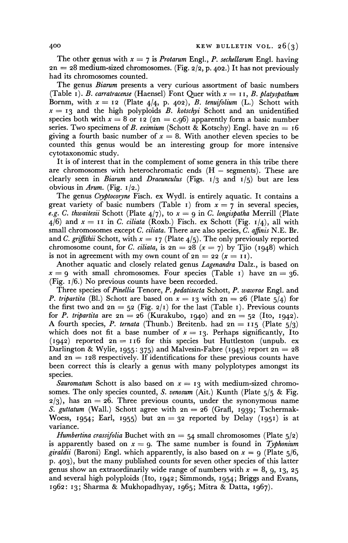The other genus with  $x = 7$  is *Protarum Engl., P. sechellarum Engl.* having  $2n = 28$  medium-sized chromosomes. (Fig.  $2/2$ , p.  $402$ .) It has not previously **had its chromosomes counted.** 

**The genus Biarum presents a very curious assortment of basic numbers**  (Table I). *B. carratracense* (Haensel) Font Quer with  $x = 11$ , *B. platyspathum* Bornm, with  $x = 12$  (Plate  $4/4$ , p. 402), *B. tenuifolium* (L.) Schott with  $x = 13$  and the high polyploids B. kotschyi Schott and an unidentified species both with  $x = 8$  or **12** ( $2n = c.96$ ) apparently form a basic number series. Two specimens of *B. eximium* (Schott & Kotschy) Engl. have  $2n = 16$ giving a fourth basic number of  $x = 8$ . With another eleven species to be **counted this genus would be an interesting group for more intensive cytotaxonomic study.** 

**It is of interest that in the complement of some genera in this tribe there**  are chromosomes with heterochromatic ends (H - segments). These are **clearly seen in Biarum and Dracunculus (Figs. 1/3 and 1/5) but are less**  obvious in Arum. (Fig.  $1/2$ .)

**The genus Cryptocoryne Fisch. ex Wydl. is entirely aquatic. It contains a**  great variety of basic numbers (Table 1) from  $x = 7$  in several species, e.g. C. thwaitesii Schott (Plate  $4/7$ ), to  $x = 9$  in C. longispatha Merrill (Plate  $4/6$ ) and  $x = 11$  in C. ciliata (Roxb.) Fisch. ex Schott (Fig.  $1/4$ ), all with  $\text{cm}$  and  $\text{cm}$   $\text{cm}$  and  $\text{cm}$   $\text{cm}$   $\text{cm}$   $\text{cm}$   $\text{cm}$   $\text{cm}$   $\text{cm}$   $\text{cm}$   $\text{cm}$   $\text{cm}$   $\text{cm}$   $\text{cm}$   $\text{cm}$   $\text{$ **small chromosomes except C. ciliata. There are also species, C. affinis N.E. Br.**  and C. griffithii Schott, with  $x = 17$  (Plate  $4/5$ ). The only previously reported chromosome count, for C. *ciliata*, is  $2n = 28$  ( $x = 7$ ) by Tjio (1948) which is not in agreement with my own count of  $2n = 22$   $(x = 11)$ .

**Another aquatic and closely related genus Lagenandra Dalz., is based on**   $x = 9$  with small chromosomes. Four species (Table I) have  $2n = 36$ . **(Fig. I/6.) No previous counts have been recorded.** 

**Three species of Pinellia Tenore, P. pedatisecta Schott, P. wawrae Engl. and P.** tripartita (Bl.) Schott are based on  $x = 13$  with  $2n = 26$  (Plate  $5/4$ ) for the first two and  $2n = 52$  (Fig.  $2/I$ ) for the last (Table 1). Previous counts for *P. tripartita* are  $2n = 26$  (Kurakubo, 1940) and  $2n = 52$  (Ito, 1942). **A** fourth species, P. ternata (Thunb.) Breitenb. had  $2n = 115$  (Plate  $5/3$ ) which does not fit a base number of  $x = 13$ . Perhaps significantly, Ito **(1942) reported 2n = 1i6 for this species but Huttleston (unpub. ex Darlington & Wylie, 1955: 375) and Malvesin-Fabre (1945) report**  $2n = 28$ **and 2n = 128 respectively. If identifications for these previous counts have been correct this is clearly a genus with many polyplotypes amongst its species.** 

Sauromatum Schott is also based on  $x = 13$  with medium-sized chromo**somes. The only species counted, S. venosum (Ait.) Kunth (Plate 5/5 & Fig. 2/3), has 2n = 26. Three previous counts, under the synonymous name S. guttatum (Wall.) Schott agree with 2n = 26 (Grafl, 1939; Tschermak-**Woess, 1954; Earl, 1955) but  $2n = 32$  reported by Delay (1951) is at **variance.** 

*Humbertina crassifolia* Buchet with  $2n = 54$  small chromosomes (Plate  $5/2$ ) is apparently based on  $x = 9$ . The same number is found in *Typhonium giraldii* (Baroni) Engl. which apparently, is also based on  $x = 9$  (Plate  $5/6$ , **p. 403), but the many published counts for seven other species of this latter**  genus show an extraordinarily wide range of numbers with  $x = 8, 9, 13, 25$ **and several high polyploids (Ito, 1942; Simmonds, I954; Briggs and Evans, 1962: 13; Sharma & Mukhopadhyay, 1965; Mitra & Datta, 1967).**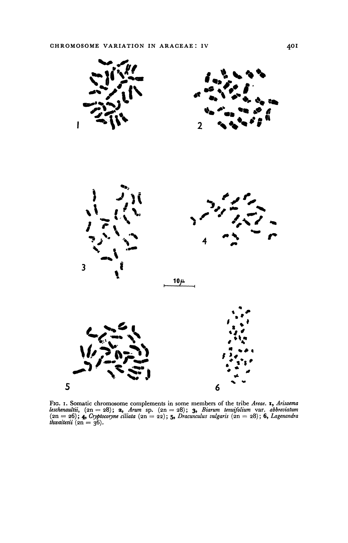

FIG. 1. Somatic chromosome complements in some members of the tribe Areae. **1,** Arisaema leschenaultii,  $(2n = 28)$ ; **2,** Arum sp.  $(2n = 28)$ ; **3,** Biarum tenuifolium var. abbreviatum  $(2n = 26)$ ; **4,** Cryptocoryne ciliata  $\textit{thwaitesii}$  ( $\textit{2n} = 36$ ).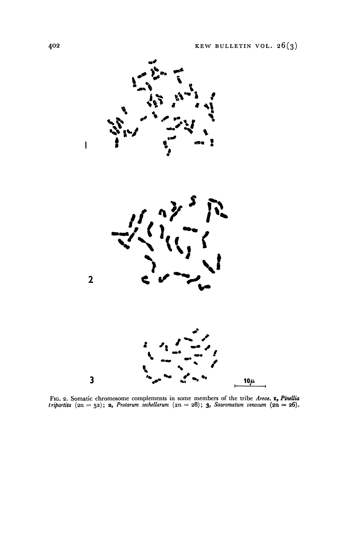

Fro. 2. Somatic chromosome complements in some members of the tribe Areae. **1, Pinellia**  $t$ *inellia*  $(2n = 52)$ ; **2,** Protarum sechellarum  $(2n = 28)$ ; **3**, Sauromatum venosum  $(2n = 26)$ .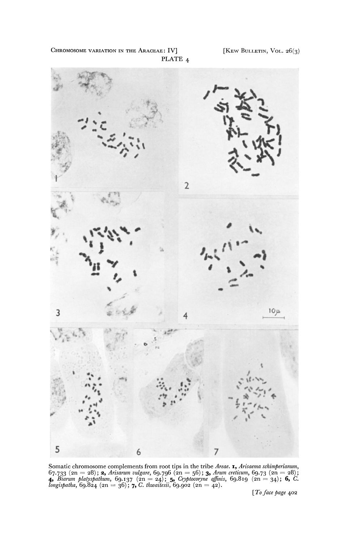CHROMOSOME VARIATION IN THE ARACEAE: IV] [KEW BULLETIN, VOL.  $26(3)$ **PLATE 4** 



Somatic chromosome complements from root tips in the tribe Areae. **1,** Arisaema schimperianum, 67.733 (2n = 28); **2,** Arisarum vulgare, 69.796 (2n = 56); **3,** Arum creticum, 69.73 (2n = 28);<br>**4,** Biarum platyspathum, 69.137 (2n = 24); **5,** Cryptocoryne affinis, 69.819 (2n = 34); **6,** C.<br>longispatha, 69.824 (2n = 36

**[ To face page 402**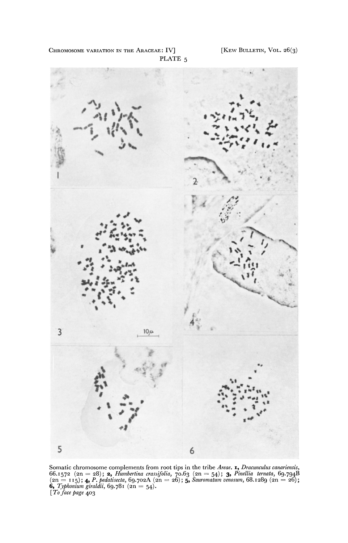CHROMOSOME VARIATION IN THE ARACEAE: IV] [KEW BULLETIN, VOL.  $26(3)$ **PLATE 5** 



**Somatic chromosome complements from root tips in the tribe Areae. I, Dracunculus canariensis, 66.I572 (2n = 28); 2, Humbertina crassifolia, 70.63 (2n = 54); 3, Pinellia ternata, 69-794B (2n = I115); 4, P. pedatisecta, 69-7o2A (2n = 26); 5, Sauromatum venosum, 68.1289 (2n = 26); 6, Typhonium giraldii, 69-78 <sup>I</sup>(2n = 54). [ To face page 403**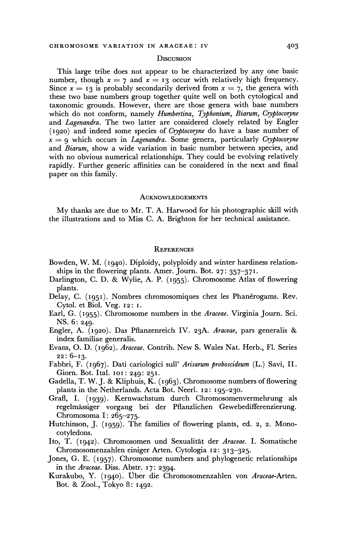#### **DISCUSSION**

**This large tribe does not appear to be characterized by any one basic**  number, though  $x = 7$  and  $x = 13$  occur with relatively high frequency. Since  $x = 13$  is probably secondarily derived from  $x = 7$ , the genera with **these two base numbers group together quite well on both cytological and taxonomic grounds. However, there are those genera with base numbers which do not conform, namely Humbertina, Typhonium, Biarum, Cryptocoryne and Lagenandra. The two latter are considered closely related by Engler (1920) and indeed some species of Cryptocoryne do have a base number of**   $x = q$  which occurs in *Lagenandra*. Some genera, particularly *Cryptocoryne* **and Biarum, show a wide variation in basic number between species, and with no obvious numerical relationships. They could be evolving relatively rapidly. Further generic affinities can be considered in the next and final paper on this family.** 

#### **ACKNOWLEDGEMENTS**

**My thanks are due to Mr. T. A. Harwood for his photographic skill with the illustrations and to Miss C. A. Brighton for her technical assistance.** 

### **REFERENCES**

- **Bowden, W. M. (I940). Diploidy, polyploidy and winter hardiness relationships in the flowering plants. Amer. Journ. Bot. 27: 357-371.**
- **Darlington, C. D. & Wylie, A. P. (1955). Chromosome Atlas of flowering plants.**
- **Delay, C. (1951). Nombres chromosomiques chez les Phanerogams. Rev. Cytol. et Biol. Veg. I2: i.**
- **Earl, G. (1955). Chromosome numbers in the Araceae. Virginia Journ. Sci. NS. 6: 249.**
- **Engler, A. (1920). Das Pflanzenreich IV. 23A. Araceae, pars generalis & index familiae generalis.**
- **Evans, O. D. (i962). Araceae. Contrib. New S. Wales Nat. Herb., Fl. Series 22: 6-13-**
- **Fabbri, F. (1967). Dati cariologici sull' Arisarum proboscideum (L.) Savi, II. Giorn. Bot. Ital. 10o : 249: 251.**
- **Gadella, T. W. J. & Kliphuis, K. (1963). Chromosome numbers of flowering plants in the Netherlands. Acta Bot. Neerl. 12: 195-230.**
- **Grafl, I. (1939). Kernwachstum durch Chromosomenvermehrung als regelmassiger vorgang bei der Pflanzlichen Gewebedifferenzierung. Chromosoma I: 265-275-**
- **Hutchinson, J. (1959). The families of flowering plants, ed. 2, 2. Monocotyledons.**
- **Ito, T. (1942). Chromosomen und Sexualitit der Araceae. I. Somatische Chromosomenzahlen einiger Arten. Cytologia I2: 313-325.**
- **Jones, G. E. (I957). Chromosome numbers and phylogenetic relationships in the Araceae. Diss. Abstr. 17: 2394.**
- Kurakubo, Y. (1940). Über die Chromosomenzahlen von Araceae-Arten. **Bot. & Zool., Tokyo 8: 1492.**